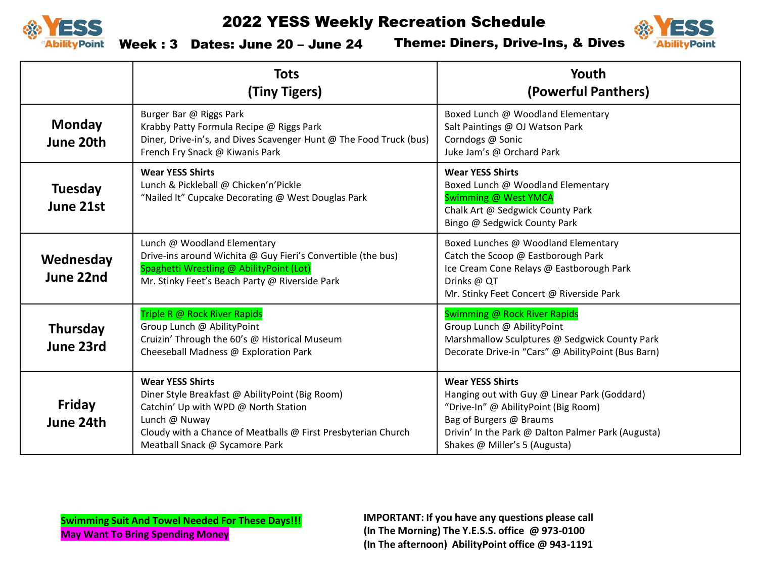



Week : 3 Dates: June 20 – June 24

Theme: Diners, Drive-Ins, & Dives

|                              | <b>Tots</b><br>(Tiny Tigers)                                                                                                                                                                                                           | Youth<br>(Powerful Panthers)                                                                                                                                                                                                      |
|------------------------------|----------------------------------------------------------------------------------------------------------------------------------------------------------------------------------------------------------------------------------------|-----------------------------------------------------------------------------------------------------------------------------------------------------------------------------------------------------------------------------------|
| <b>Monday</b><br>June 20th   | Burger Bar @ Riggs Park<br>Krabby Patty Formula Recipe @ Riggs Park<br>Diner, Drive-in's, and Dives Scavenger Hunt @ The Food Truck (bus)<br>French Fry Snack @ Kiwanis Park                                                           | Boxed Lunch @ Woodland Elementary<br>Salt Paintings @ OJ Watson Park<br>Corndogs @ Sonic<br>Juke Jam's @ Orchard Park                                                                                                             |
| <b>Tuesday</b><br>June 21st  | <b>Wear YESS Shirts</b><br>Lunch & Pickleball @ Chicken'n'Pickle<br>"Nailed It" Cupcake Decorating @ West Douglas Park                                                                                                                 | <b>Wear YESS Shirts</b><br>Boxed Lunch @ Woodland Elementary<br>Swimming @ West YMCA<br>Chalk Art @ Sedgwick County Park<br>Bingo @ Sedgwick County Park                                                                          |
| Wednesday<br>June 22nd       | Lunch @ Woodland Elementary<br>Drive-ins around Wichita @ Guy Fieri's Convertible (the bus)<br>Spaghetti Wrestling @ AbilityPoint (Lot)<br>Mr. Stinky Feet's Beach Party @ Riverside Park                                              | Boxed Lunches @ Woodland Elementary<br>Catch the Scoop @ Eastborough Park<br>Ice Cream Cone Relays @ Eastborough Park<br>Drinks @ QT<br>Mr. Stinky Feet Concert @ Riverside Park                                                  |
| <b>Thursday</b><br>June 23rd | Triple R @ Rock River Rapids<br>Group Lunch @ AbilityPoint<br>Cruizin' Through the 60's @ Historical Museum<br>Cheeseball Madness @ Exploration Park                                                                                   | Swimming @ Rock River Rapids<br>Group Lunch @ AbilityPoint<br>Marshmallow Sculptures @ Sedgwick County Park<br>Decorate Drive-in "Cars" @ AbilityPoint (Bus Barn)                                                                 |
| Friday<br>June 24th          | <b>Wear YESS Shirts</b><br>Diner Style Breakfast @ AbilityPoint (Big Room)<br>Catchin' Up with WPD @ North Station<br>Lunch @ Nuway<br>Cloudy with a Chance of Meatballs @ First Presbyterian Church<br>Meatball Snack @ Sycamore Park | <b>Wear YESS Shirts</b><br>Hanging out with Guy @ Linear Park (Goddard)<br>"Drive-In" @ AbilityPoint (Big Room)<br>Bag of Burgers @ Braums<br>Drivin' In the Park @ Dalton Palmer Park (Augusta)<br>Shakes @ Miller's 5 (Augusta) |